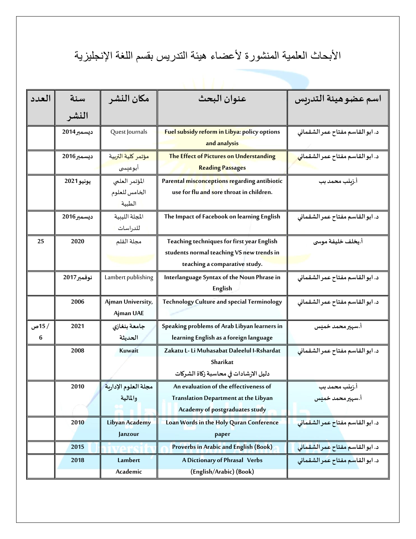## الأبحاث العلمية المنشورة لأعضاء هيئة التدريس بقسم اللغة الإنجليزية

| العدد      | سنة<br>النشر | مكان النشر                                | عنوان البحث                                                                                                              | اسم عضو هيئة التدريس                           |
|------------|--------------|-------------------------------------------|--------------------------------------------------------------------------------------------------------------------------|------------------------------------------------|
|            | ديسمبر2014   | Quest Journals                            | Fuel subsidy reform in Libya: policy options<br>and analysis                                                             | د. ابو القاسم مفتاح عمر الشقمانى               |
|            | ديسمبر2016   | مؤتمر كلية التربية<br>أبوعيسي             | The Effect of Pictures on Understanding<br><b>Reading Passages</b>                                                       | د. ابو القاسم مفتاح عمر الشقمان <mark>ي</mark> |
|            | يونيو 2021   | المؤتمر العلمى<br>الخامس للعلوم<br>الطبية | Parental misconceptions regarding antibiotic<br>use for flu and sore throat in children.                                 | أ.زيلب محمد بب                                 |
|            | ديسمبر2016   | المجلة اللينية<br>للدراسات                | The Impact of Facebook on learning English                                                                               | د. ابو القاسم مفتاح عمر الشقماني               |
| 25         | 2020         | مجلة القلم                                | Teaching techniques for first year English<br>students normal teaching VS new trends in<br>teaching a comparative study. | أ.يخلف خليفة موسى                              |
|            | نوفمبر2017   | Lambert publishing                        | Interlanguage Syntax of the Noun Phrase in<br>English                                                                    | د. ابو القاسم مفتاح عمر الشقماني               |
|            | 2006         | Ajman University,<br>Ajman UAE            | <b>Technology Culture and special Terminology</b>                                                                        | د. ابو القاسم مفتاح عمر الشقماني               |
| / 15ص<br>6 | 2021         | جامعة بنغازى<br>الحديثة                   | Speaking problems of Arab Libyan learners in<br>learning English as a foreign language                                   | أ.سهير محمد خميس                               |
|            | 2008         | Kuwait                                    | Zakatu L- Li Muhasabat Daleelul I-Rshardat<br>Sharikat<br>دليل الارشادات في محاسبة زكاة الشركات                          | د. ابو القاسم مفتاح عمر الشقماني               |
|            | 2010         | مجلة العلوم الإداربة<br>والمالية          | An evaluation of the effectiveness of<br>Translation Department at the Libyan<br>Academy of postgraduates study          | أ.زىلب محمد بب<br>أ.سهير محمد خميس             |
|            | 2010         | Libyan Academy<br>Janzour                 | Loan Words in the Holy Quran Conference<br>paper                                                                         | د. ابوالقاسم مفتاح عمرالشقماني                 |
|            | 2015         |                                           | Proverbs in Arabic and English (Book)                                                                                    | د. ابو القاسم مفتاح عمر الشقماني               |
|            | 2018         | Lambert<br>Academic                       | A Dictionary of Phrasal Verbs<br>(English/Arabic) (Book)                                                                 | د. ابو القاسم مفتاح عمر الشقماني               |